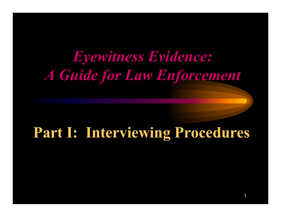# *Eyewitness Evidence: A Guide for Law Enforcement*

# **Part I: Interviewing Procedures**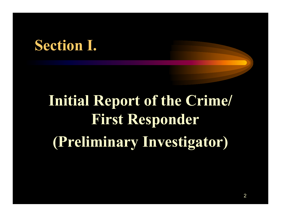# **Section I.**

# **Initial Report of the Crime/ First Responder (Preliminary Investigator)**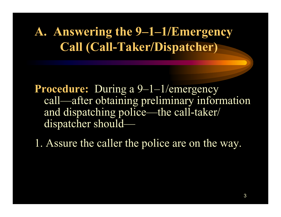#### **A. Answering the 9–1–1/Emergency Call (Call-Taker/Dispatcher)**

**Procedure:** During a 9–1–1/emergency call—after obtaining preliminary information and dispatching police—the call-taker/ dispatcher should—

1. Assure the caller the police are on the way.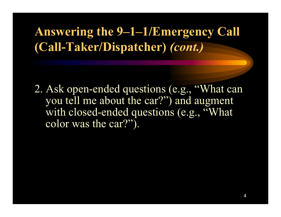### **Answering the 9–1–1/Emergency Call (Call-Taker/Dispatcher)** *(cont.)*

2. Ask open-ended questions (e.g., "What can you tell me about the car?") and augment with closed-ended questions (e.g., "What color was the car?").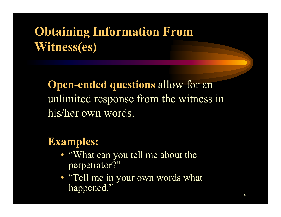**Open-ended questions** allow for an unlimited response from the witness in his/her own words.

#### **Examples:**

- "What can you tell me about the perpetrator?"
- "Tell me in your own words what happened."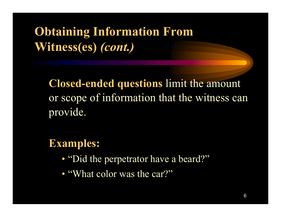**Closed-ended questions** limit the amount or scope of information that the witness can provide.

#### **Examples:**

- "Did the perpetrator have a beard?"
- "What color was the car?"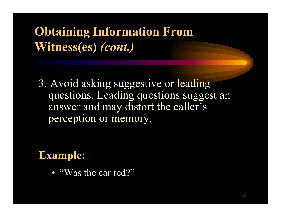3. Avoid asking suggestive or leading questions. Leading questions suggest an answer and may distort the caller's perception or memory.

#### **Example:**

• "Was the car red?"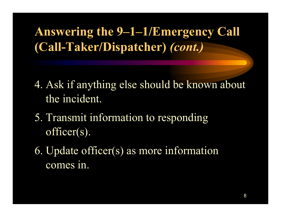**Answering the 9–1–1/Emergency Call (Call-Taker/Dispatcher)** *(cont.)*

- 4. Ask if anything else should be known about the incident.
- 5. Transmit information to responding officer(s).
- 6. Update officer(s) as more information comes in.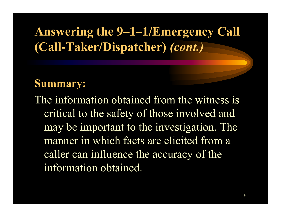### **Answering the 9–1–1/Emergency Call (Call-Taker/Dispatcher)** *(cont.)*

#### **Summary:**

The information obtained from the witness is critical to the safety of those involved and may be important to the investigation. The manner in which facts are elicited from a caller can influence the accuracy of the information obtained.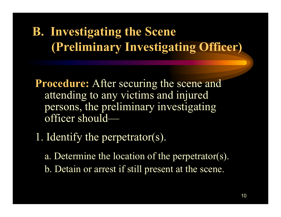## **B. Investigating the Scene (Preliminary Investigating Officer)**

**Procedure:** After securing the scene and attending to any victims and injured persons, the preliminary investigating officer should—

1. Identify the perpetrator(s).

a. Determine the location of the perpetrator(s). b. Detain or arrest if still present at the scene.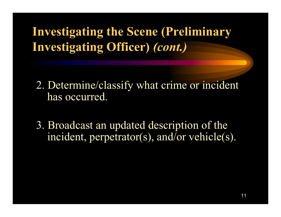**Investigating the Scene (Preliminary Investigating Officer)** *(cont.)*

- 2. Determine/classify what crime or incident has occurred.
- 3. Broadcast an updated description of the incident, perpetrator(s), and/or vehicle(s).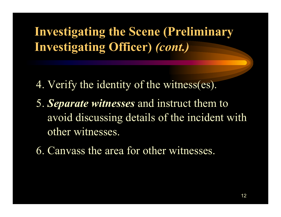### **Investigating the Scene (Preliminary Investigating Officer)** *(cont.)*

- 4. Verify the identity of the witness(es).
- 5. *Separate witnesses* and instruct them to avoid discussing details of the incident with other witnesses.
- 6. Canvass the area for other witnesses.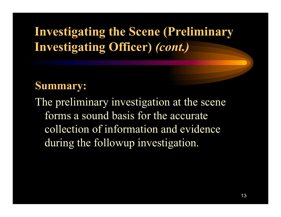### **Investigating the Scene (Preliminary Investigating Officer)** *(cont.)*

#### **Summary:**

The preliminary investigation at the scene forms a sound basis for the accuratecollection of information and evidenceduring the followup investigation.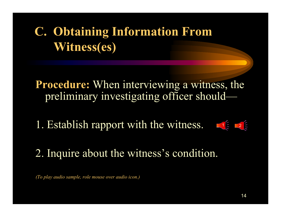# **C. Obtaining Information From Witness(es)**

**Procedure:** When interviewing a witness, the preliminary investigating officer should—

1. Establish rapport with the witness.



2. Inquire about the witness's condition.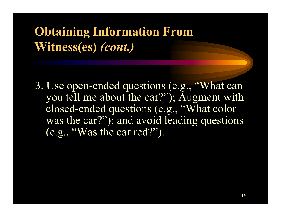3. Use open-ended questions (e.g., "What can you tell me about the car?"); Augment with closed-ended questions (e.g., "What color was the car?"); and avoid leading questions  $\overline{(e.g., "Was the car red?")}.$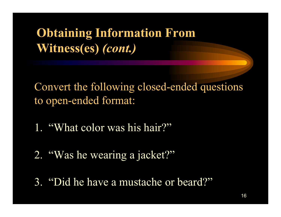Convert the following closed-ended questions to open-ended format:

- 1. "What color was his hair?"
- 2. "Was he wearing a jacket?"
- 3. "Did he have a mustache or beard?"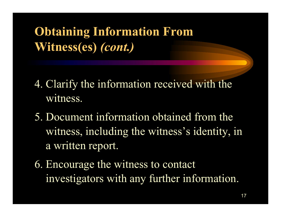- 4. Clarify the information received with the witness.
- 5. Document information obtained from the witness, including the witness's identity, in a written report.
- 6. Encourage the witness to contact investigators with any further information.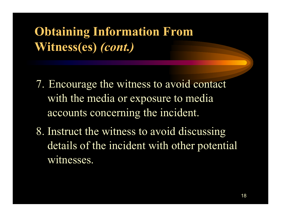- 7. Encourage the witness to avoid contact with the media or exposure to media accounts concerning the incident.
- 8. Instruct the witness to avoid discussing details of the incident with other potential witnesses.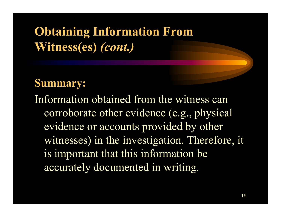#### **Summary:**

Information obtained from the witness cancorroborate other evidence (e.g., physical evidence or accounts provided by other witnesses) in the investigation. Therefore, it is important that this information be accurately documented in writing.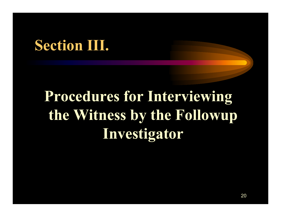# **Section III.**

# **Procedures for Interviewing the Witness by the Followup Investigator**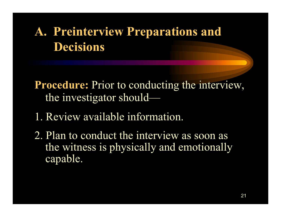## **A. Preinterview Preparations and Decisions**

**Procedure:** Prior to conducting the interview, the investigator should-

- 1. Review available information.
- 2. Plan to conduct the interview as soon as the witness is physically and emotionally capable.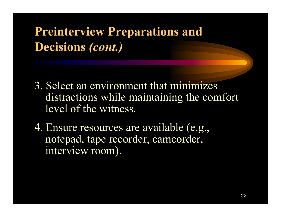### **Preinterview Preparations and Decisions** *(cont.)*

- 3. Select an environment that minimizes distractions while maintaining the comfort level of the witness.
- 4. Ensure resources are available (e.g., notepad, tape recorder, camcorder, interview room).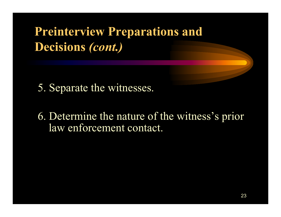### **Preinterview Preparations and Decisions** *(cont.)*

- 5. Separate the witnesses.
- 6. Determine the nature of the witness's prior law enforcement contact.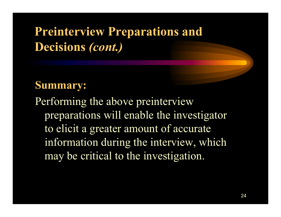### **Preinterview Preparations and Decisions** *(cont.)*

#### **Summary:**

Performing the above preinterview preparations will enable the investigator to elicit a greater amount of accurate information during the interview, which may be critical to the investigation.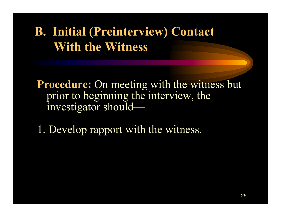### **B. Initial (Preinterview) Contact With the Witness**

**Procedure:** On meeting with the witness but prior to beginning the interview, the investigator should—

1. Develop rapport with the witness.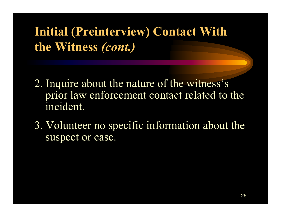**Initial (Preinterview) Contact With the Witness** *(cont.)*

- 2. Inquire about the nature of the witness's prior law enforcement contact related to the incident.
- 3. Volunteer no specific information about the suspect or case.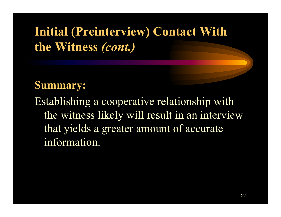## **Initial (Preinterview) Contact With the Witness** *(cont.)*

#### **Summary:**

Establishing a cooperative relationship with the witness likely will result in an interview that yields a greater amount of accurate information.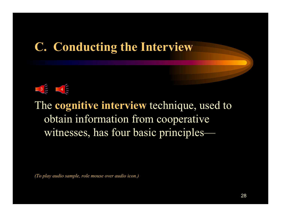#### **C. Conducting the Interview**

#### 3 4

The **cognitive interview** technique, used to obtain information from cooperative witnesses, has four basic principles—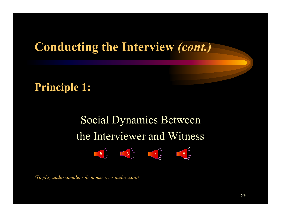#### **Principle 1:**

# Social Dynamics Between the Interviewer and Witness

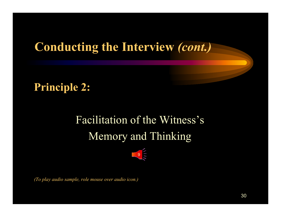#### **Principle 2:**

# Facilitation of the Witness's Memory and Thinking

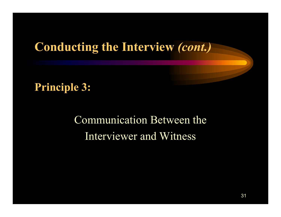**Principle 3:**

Communication Between the Interviewer and Witness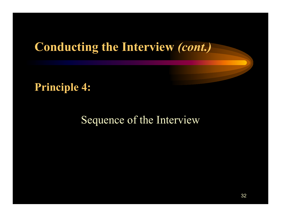#### **Principle 4:**

#### Sequence of the Interview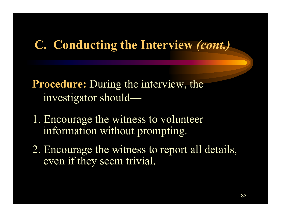**Procedure:** During the interview, the investigator should—

- 1. Encourage the witness to volunteer information without prompting.
- 2. Encourage the witness to report all details, even if they seem trivial.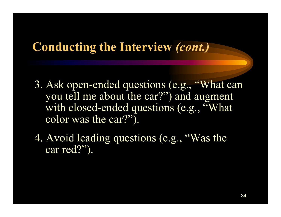- 3. Ask open-ended questions (e.g., "What can you tell me about the car?") and augment with closed-ended questions (e.g., "What color was the car?").
- 4. Avoid leading questions (e.g., "Was the car red?").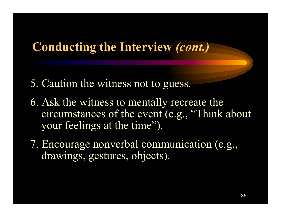- 5. Caution the witness not to guess.
- 6. Ask the witness to mentally recreate the circumstances of the event (e.g., "Think about your feelings at the time").
- 7. Encourage nonverbal communication (e.g., drawings, gestures, objects).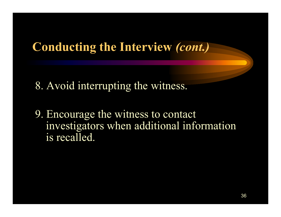8. Avoid interrupting the witness.

9. Encourage the witness to contact investigators when additional information is recalled.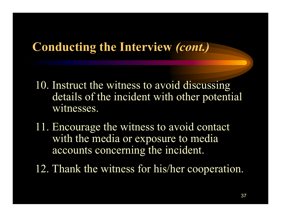### **Conducting the Interview** *(cont.)*

- 10. Instruct the witness to avoid discussing details of the incident with other potential witnesses.
- 11. Encourage the witness to avoid contact with the media or exposure to media accounts concerning the incident.
- 12. Thank the witness for his/her cooperation.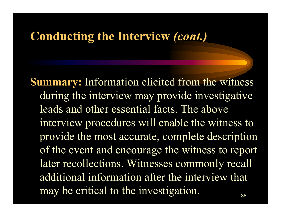#### **Conducting the Interview** *(cont.)*

38**Summary:** Information elicited from the witness during the interview may provide investigative leads and other essential facts. The aboveinterview procedures will enable the witness to provide the most accurate, complete description of the event and encourage the witness to report later recollections. Witnesses commonly recall additional information after the interview that may be critical to the investigation.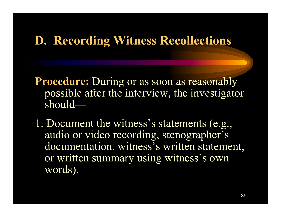### **D. Recording Witness Recollections**

**Procedure:** During or as soon as reasonably possible after the interview, the investigator should-

1. Document the witness's statements (e.g., audio or video recording, stenographer's documentation, witness's written statement, or written summary using witness's own words).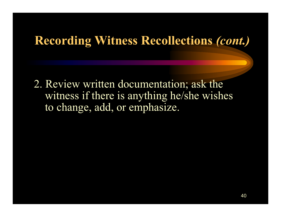#### **Recording Witness Recollections** *(cont.)*

2. Review written documentation; ask the witness if there is anything he/she wishes to change, add, or emphasize.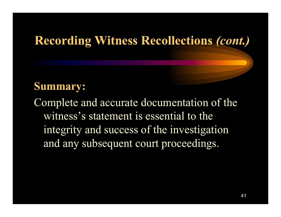### **Recording Witness Recollections** *(cont.)*

#### **Summary:**

Complete and accurate documentation of the witness's statement is essential to theintegrity and success of the investigation and any subsequent court proceedings.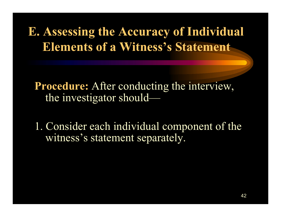# **E. Assessing the Accuracy of Individual Elements of a Witness's Statement**

**Procedure:** After conducting the interview, the investigator should-

1. Consider each individual component of the witness's statement separately.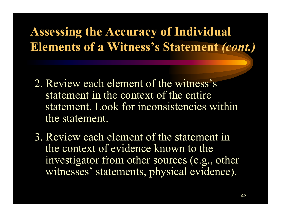# **Assessing the Accuracy of Individual Elements of a Witness's Statement** *(cont.)*

- 2. Review each element of the witness's statement in the context of the entirestatement. Look for inconsistencies within the statement.
- 3. Review each element of the statement inthe context of evidence known to theinvestigator from other sources (e.g., other witnesses' statements, physical evidence).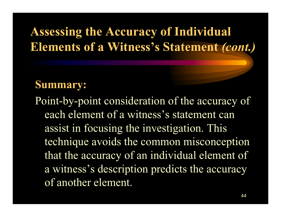# **Assessing the Accuracy of Individual Elements of a Witness's Statement** *(cont.)*

#### **Summary:**

Point-by-point consideration of the accuracy of each element of a witness's statement canassist in focusing the investigation. This technique avoids the common misconception that the accuracy of an individual element of a witness's description predicts the accuracy of another element.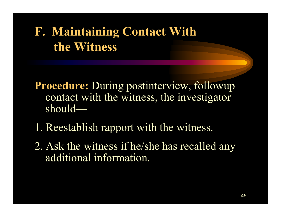# **F. Maintaining Contact With the Witness**

- **Procedure:** During postinterview, followup contact with the witness, the investigator should—
- 1. Reestablish rapport with the witness.
- 2. Ask the witness if he/she has recalled any additional information.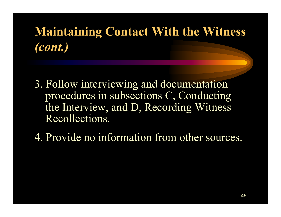# **Maintaining Contact With the Witness** *(cont.)*

- 3. Follow interviewing and documentation procedures in subsections C, Conducting the Interview, and D, Recording Witness Recollections.
- 4. Provide no information from other sources.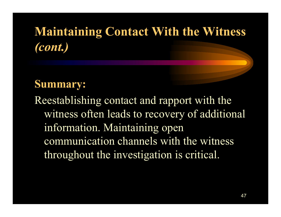# **Maintaining Contact With the Witness** *(cont.)*

#### **Summary:**

Reestablishing contact and rapport with the witness often leads to recovery of additional information. Maintaining open communication channels with the witness throughout the investigation is critical.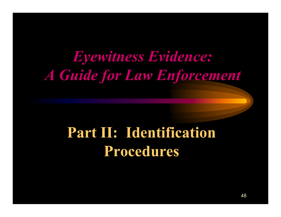# *Eyewitness Evidence: A Guide for Law Enforcement*

# **Part II: Identification Procedures**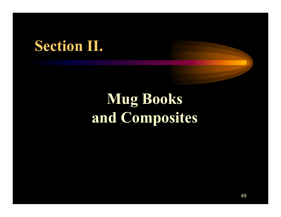# **Section II.**

# **Mug Books and Composites**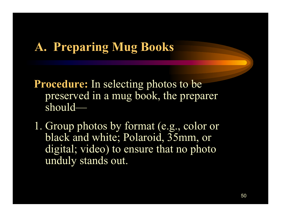## **A. Preparing Mug Books**

**Procedure:** In selecting photos to be preserved in a mug book, the preparer should—

1. Group photos by format (e.g., color or black and white; Polaroid, 35mm, or digital; video) to ensure that no photo unduly stands out.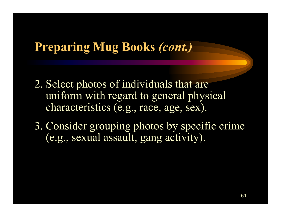### **Preparing Mug Books** *(cont.)*

- 2. Select photos of individuals that are uniform with regard to general physical characteristics (e.g., race, age, sex).
- 3. Consider grouping photos by specific crime (e.g., sexual assault, gang activity).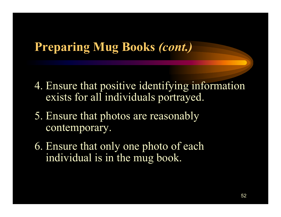### **Preparing Mug Books** *(cont.)*

- 4. Ensure that positive identifying information exists for all individuals portrayed.
- 5. Ensure that photos are reasonably contemporary.
- 6. Ensure that only one photo of each individual is in the mug book.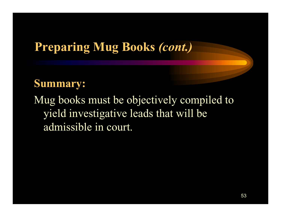### **Preparing Mug Books** *(cont.)*

#### **Summary:**

Mug books must be objectively compiled to yield investigative leads that will be admissible in court.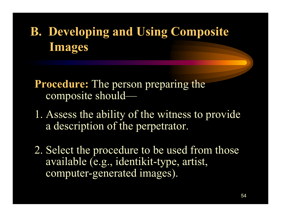# **B. Developing and Using Composite Images**

**Procedure:** The person preparing the composite should—

- 1. Assess the ability of the witness to provide a description of the perpetrator.
- 2. Select the procedure to be used from those available (e.g., identikit-type, artist, computer-generated images).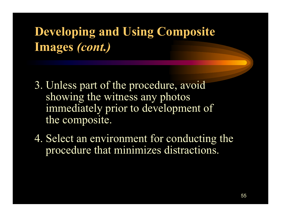# **Developing and Using Composite Images** *(cont.)*

- 3. Unless part of the procedure, avoid showing the witness any photos immediately prior to development of the composite.
- 4. Select an environment for conducting the procedure that minimizes distractions.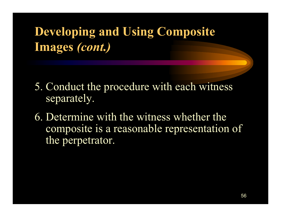# **Developing and Using Composite Images** *(cont.)*

- 5. Conduct the procedure with each witness separately.
- 6. Determine with the witness whether the composite is a reasonable representation of the perpetrator.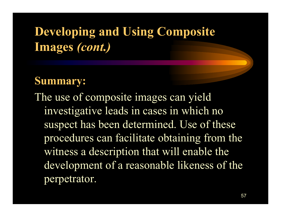# **Developing and Using Composite Images** *(cont.)*

#### **Summary:**

The use of composite images can yield investigative leads in cases in which no suspect has been determined. Use of these procedures can facilitate obtaining from the witness a description that will enable the development of a reasonable likeness of the perpetrator.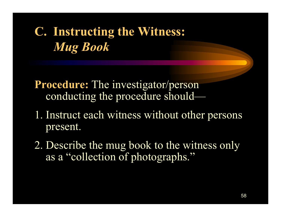# **C. Instructing the Witness:** *Mug Book*

**Procedure:** The investigator/person conducting the procedure should-

- 1. Instruct each witness without other persons present.
- 2. Describe the mug book to the witness only as a "collection of photographs."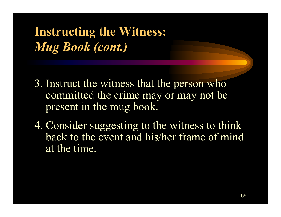**Instructing the Witness:** *Mug Book (cont.)*

- 3. Instruct the witness that the person who committed the crime may or may not be present in the mug book.
- 4. Consider suggesting to the witness to think back to the event and his/her frame of mindat the time.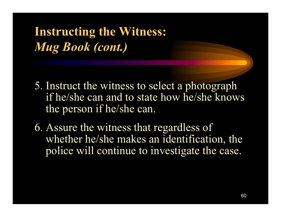**Instructing the Witness:** *Mug Book (cont.)*

- 5. Instruct the witness to select a photograph if he/she can and to state how he/she knows the person if he/she can.
- 6. Assure the witness that regardless of whether he/she makes an identification, the police will continue to investigate the case.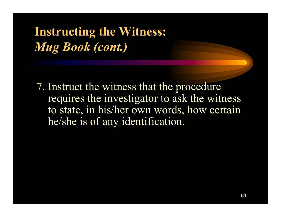**Instructing the Witness:** *Mug Book (cont.)*

7. Instruct the witness that the procedure requires the investigator to ask the witness to state, in his/her own words, how certain he/she is of any identification.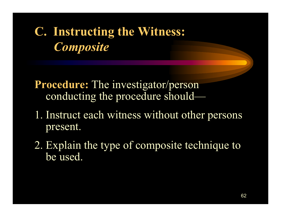# **C. Instructing the Witness:** *Composite*

**Procedure:** The investigator/person conducting the procedure should—

- 1. Instruct each witness without other persons present.
- 2. Explain the type of composite technique to be used.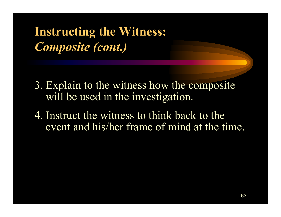**Instructing the Witness:** *Composite (cont.)*

- 3. Explain to the witness how the composite will be used in the investigation.
- 4. Instruct the witness to think back to the event and his/her frame of mind at the time.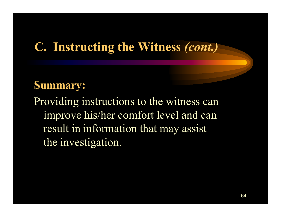### **C. Instructing the Witness** *(cont.)*

#### **Summary:**

Providing instructions to the witness can improve his/her comfort level and can result in information that may assist the investigation.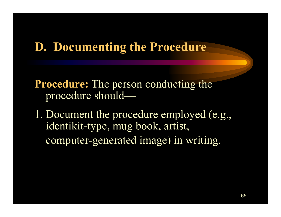### **D. Documenting the Procedure**

**Procedure:** The person conducting the procedure should—

1. Document the procedure employed (e.g., identikit-type, mug book, artist, computer-generated image) in writing.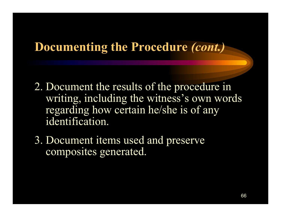### **Documenting the Procedure** *(cont.)*

- 2. Document the results of the procedure in writing, including the witness's own words regarding how certain he/she is of any identification.
- 3. Document items used and preserve composites generated.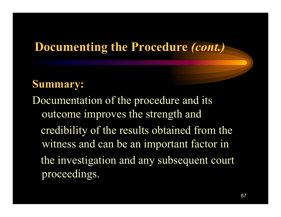## **Documenting the Procedure** *(cont.)*

#### **Summary:**

Documentation of the procedure and its outcome improves the strength and credibility of the results obtained from the witness and can be an important factor in the investigation and any subsequent court proceedings.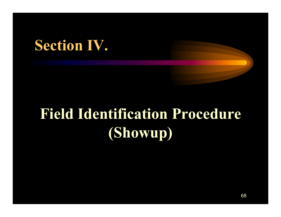# **Section IV.**

# **Field Identification Procedure (Showup)**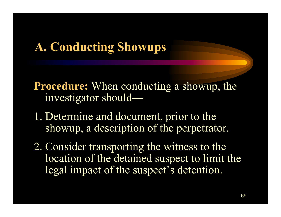## **A. Conducting Showups**

**Procedure:** When conducting a showup, the investigator should—

- 1. Determine and document, prior to the showup, a description of the perpetrator.
- 2. Consider transporting the witness to the location of the detained suspect to limit the legal impact of the suspect's detention.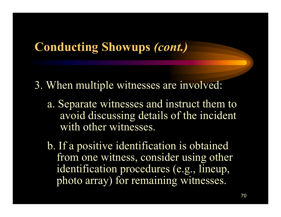### **Conducting Showups** *(cont.)*

- 3. When multiple witnesses are involved:
	- a. Separate witnesses and instruct them to avoid discussing details of the incident with other witnesses.
	- b. If a positive identification is obtained from one witness, consider using other identification procedures (e.g., lineup, photo array) for remaining witnesses.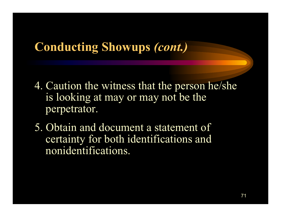### **Conducting Showups** *(cont.)*

- 4. Caution the witness that the person he/she is looking at may or may not be the perpetrator.
- 5. Obtain and document a statement of certainty for both identifications and nonidentifications.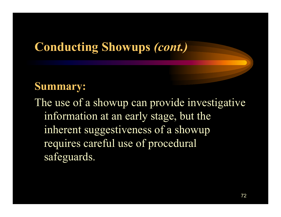### **Conducting Showups** *(cont.)*

#### **Summary:**

The use of a showup can provide investigative information at an early stage, but the inherent suggestiveness of a showup requires careful use of procedural safeguards.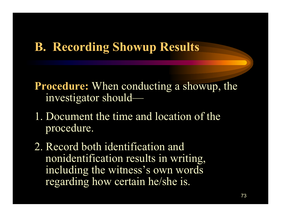#### **B. Recording Showup Results**

**Procedure:** When conducting a showup, the investigator should—

- 1. Document the time and location of the procedure.
- 2. Record both identification and nonidentification results in writing, including the witness's own words regarding how certain he/she is.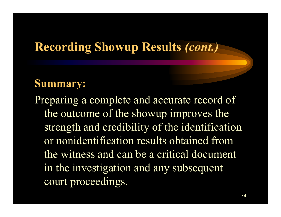#### **Recording Showup Results** *(cont.)*

#### **Summary:**

Preparing a complete and accurate record of the outcome of the showup improves the strength and credibility of the identification or nonidentification results obtained from the witness and can be a critical document in the investigation and any subsequent court proceedings.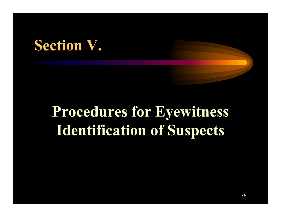## **Section V.**

# **Procedures for Eyewitness Identification of Suspects**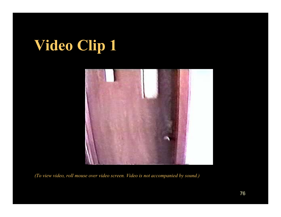# **Video Clip 1**

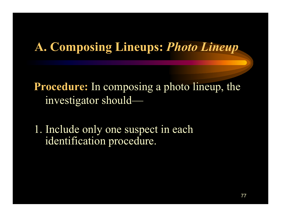#### **A. Composing Lineups:** *Photo Lineup*

**Procedure:** In composing a photo lineup, the investigator should—

1. Include only one suspect in each identification procedure.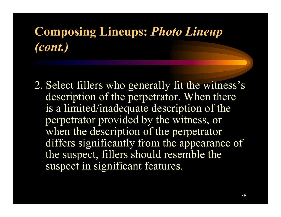2. Select fillers who generally fit the witness's description of the perpetrator. When there is a limited/inadequate description of the perpetrator provided by the witness, or when the description of the perpetrator differs significantly from the appearance of the suspect, fillers should resemble the suspect in significant features.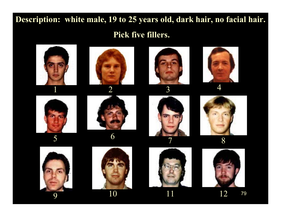# **Description: white male, 19 to 25 years old, dark hair, no facial hair.**

#### **Pick five fillers.**

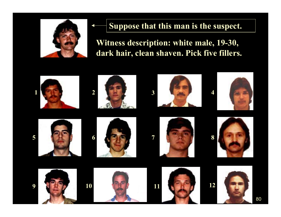

#### **Suppose that this man is the suspect.**

**Witness description: white male, 19-30, dark hair, clean shaven. Pick five fillers.**

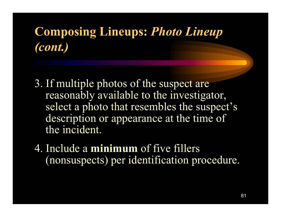- 3. If multiple photos of the suspect are reasonably available to the investigator, select a photo that resembles the suspect's description or appearance at the time of the incident.
- 4. Include a **minimum** of five fillers (nonsuspects) per identification procedure.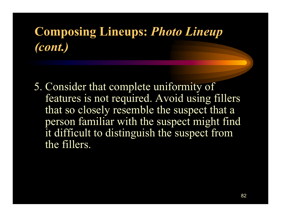5. Consider that complete uniformity of features is not required. Avoid using fillers that so closely resemble the suspect that a person familiar with the suspect might find it difficult to distinguish the suspect from the fillers.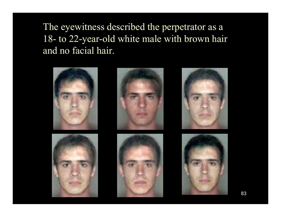The eyewitness described the perpetrator as a 18- to 22-year-old white male with brown hair and no facial hair.

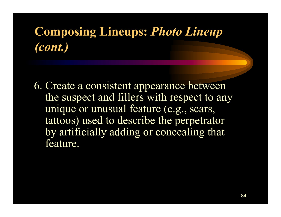6. Create a consistent appearance between the suspect and fillers with respect to any unique or unusual feature (e.g., scars, tattoos) used to describe the perpetrator by artificially adding or concealing that feature.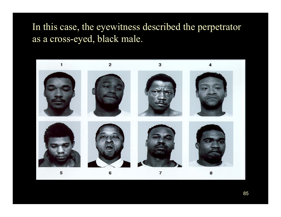#### In this case, the eyewitness described the perpetrator as a cross-eyed, black male.

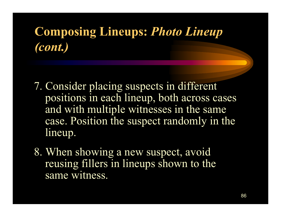- 7. Consider placing suspects in different positions in each lineup, both across cases and with multiple witnesses in the same case. Position the suspect randomly in the lineup.
- 8. When showing a new suspect, avoid reusing fillers in lineups shown to the same witness.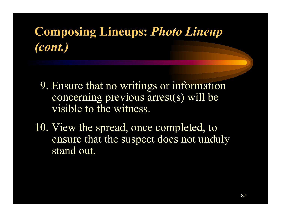- 9. Ensure that no writings or information concerning previous arrest(s) will be visible to the witness.
- 10. View the spread, once completed, to ensure that the suspect does not unduly stand out.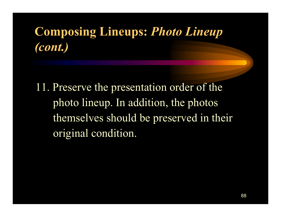11. Preserve the presentation order of the photo lineup. In addition, the photos themselves should be preserved in their original condition.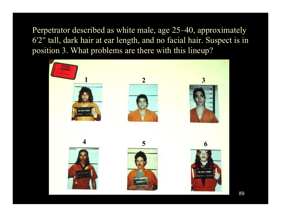Perpetrator described as white male, age 25–40, approximately '2 " tall, dark hair at ear length, and no facial hair. Suspect is in position 3. What problems are there with this lineup?

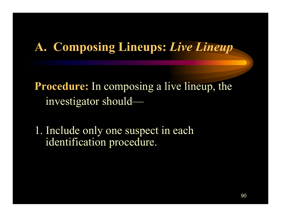#### **A. Composing Lineups:** *Live Lineup*

**Procedure:** In composing a live lineup, the investigator should—

1. Include only one suspect in each identification procedure.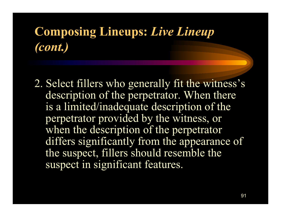2. Select fillers who generally fit the witness's description of the perpetrator. When there is a limited/inadequate description of the perpetrator provided by the witness, or when the description of the perpetrator differs significantly from the appearance of the suspect, fillers should resemble the suspect in significant features.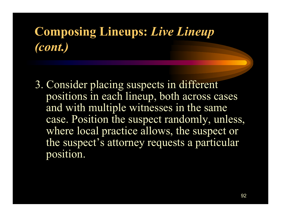3. Consider placing suspects in different positions in each lineup, both across cases and with multiple witnesses in the same case. Position the suspect randomly, unless, where local practice allows, the suspect or the suspect's attorney requests a particular position.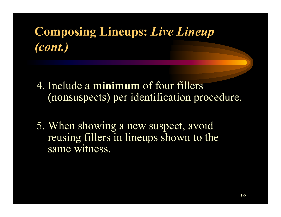- 4. Include a **minimum** of four fillers (nonsuspects) per identification procedure.
- 5. When showing a new suspect, avoid reusing fillers in lineups shown to the same witness.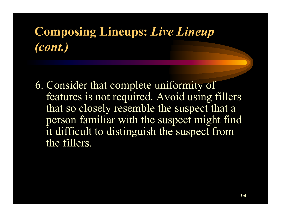6. Consider that complete uniformity of features is not required. Avoid using fillers that so closely resemble the suspect that a person familiar with the suspect might find it difficult to distinguish the suspect from the fillers.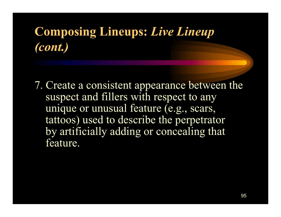7. Create a consistent appearance between the suspect and fillers with respect to any unique or unusual feature (e.g., scars, tattoos) used to describe the perpetrator by artificially adding or concealing that feature.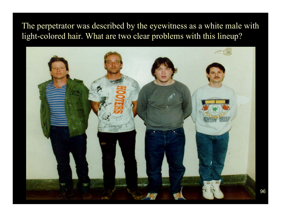#### The perpetrator was described by the eyewitness as a white male with light-colored hair. What are two clear problems with this lineup?

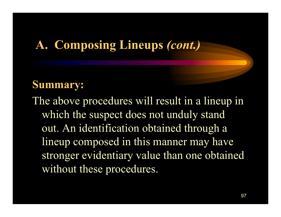#### **A. Composing Lineups** *(cont.)*

#### **Summary:**

The above procedures will result in a lineup in which the suspect does not unduly stand out. An identification obtained through a lineup composed in this manner may have stronger evidentiary value than one obtained without these procedures.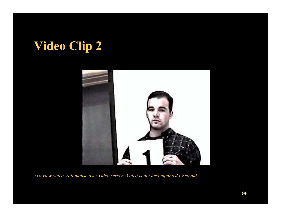## **Video Clip 2**

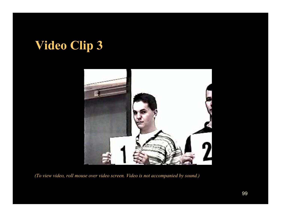## **Video Clip 3**

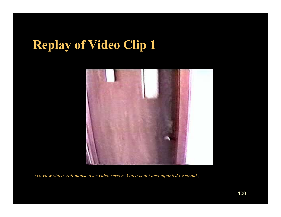#### **Replay of Video Clip 1**

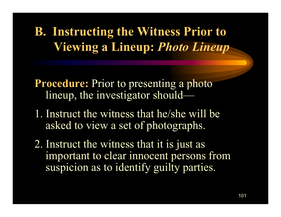**B. Instructing the Witness Prior to Viewing a Lineup:** *Photo Lineup*

**Procedure:** Prior to presenting a photo lineup, the investigator should—

- 1. Instruct the witness that he/she will be asked to view a set of photographs.
- 2. Instruct the witness that it is just as important to clear innocent persons from suspicion as to identify guilty parties.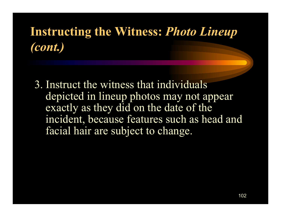#### **Instructing the Witness:** *Photo Lineup (cont.)*

3. Instruct the witness that individuals depicted in lineup photos may not appear exactly as they did on the date of the incident, because features such as head and facial hair are subject to change.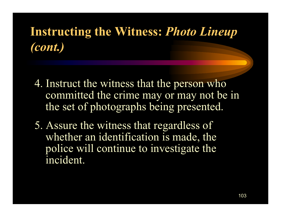## **Instructing the Witness:** *Photo Lineup (cont.)*

- 4. Instruct the witness that the person who committed the crime may or may not be in the set of photographs being presented.
- 5. Assure the witness that regardless of whether an identification is made, the police will continue to investigate the incident.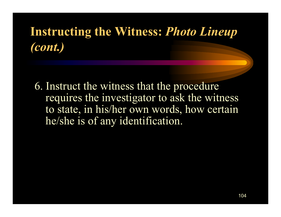#### **Instructing the Witness:** *Photo Lineup (cont.)*

6. Instruct the witness that the procedure requires the investigator to ask the witness to state, in his/her own words, how certain he/she is of any identification.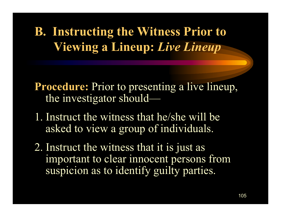**B. Instructing the Witness Prior to Viewing a Lineup:** *Live Lineup*

**Procedure:** Prior to presenting a live lineup, the investigator should-

- 1. Instruct the witness that he/she will be asked to view a group of individuals.
- 2. Instruct the witness that it is just as important to clear innocent persons from suspicion as to identify guilty parties.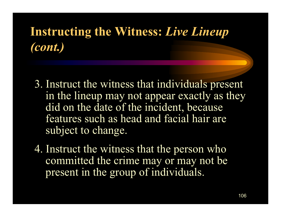#### **Instructing the Witness:** *Live Lineup (cont.)*

- 3. Instruct the witness that individuals present in the lineup may not appear exactly as they did on the date of the incident, because features such as head and facial hair are subject to change.
- 4. Instruct the witness that the person who committed the crime may or may not be present in the group of individuals.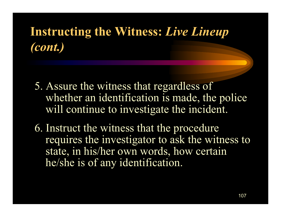### **Instructing the Witness:** *Live Lineup (cont.)*

- 5. Assure the witness that regardless of whether an identification is made, the police will continue to investigate the incident.
- 6. Instruct the witness that the procedure requires the investigator to ask the witness to state, in his/her own words, how certain he/she is of any identification.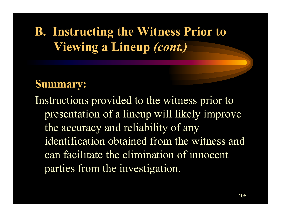## **B. Instructing the Witness Prior to Viewing a Lineup** *(cont.)*

#### **Summary:**

Instructions provided to the witness prior to presentation of a lineup will likely improve the accuracy and reliability of any identification obtained from the witness and can facilitate the elimination of innocent parties from the investigation.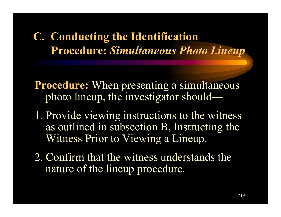#### **C. Conducting the Identification Procedure:** *Simultaneous Photo Lineup*

**Procedure:** When presenting a simultaneous photo lineup, the investigator should—

- 1. Provide viewing instructions to the witness as outlined in subsection B, Instructing the Witness Prior to Viewing a Lineup.
- 2. Confirm that the witness understands the nature of the lineup procedure.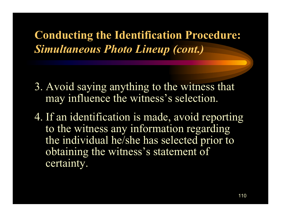- 3. Avoid saying anything to the witness that may influence the witness's selection.
- 4. If an identification is made, avoid reporting to the witness any information regarding the individual he/she has selected prior to obtaining the witness's statement of certainty.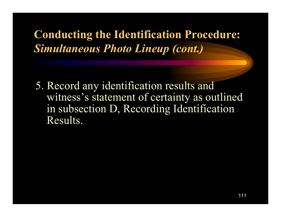5. Record any identification results and witness's statement of certainty as outlined in subsection D, Recording Identification Results.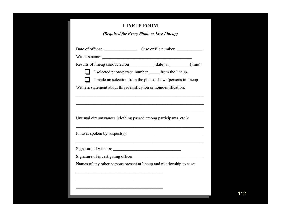#### **LINEUP FORM**

*(Required for Every Photo or Live Lineup)*

| Date of offense: Case or file number:                                                                                   |
|-------------------------------------------------------------------------------------------------------------------------|
|                                                                                                                         |
| Results of lineup conducted on ____________ (date) at ________ (time):                                                  |
| I selected photo/person number ______ from the lineup.                                                                  |
| I made no selection from the photos shown/persons in lineup.                                                            |
| Witness statement about this identification or nonidentification:                                                       |
|                                                                                                                         |
|                                                                                                                         |
|                                                                                                                         |
|                                                                                                                         |
|                                                                                                                         |
| Unusual circumstances (clothing passed among participants, etc.):                                                       |
|                                                                                                                         |
|                                                                                                                         |
|                                                                                                                         |
|                                                                                                                         |
|                                                                                                                         |
|                                                                                                                         |
|                                                                                                                         |
|                                                                                                                         |
| Phrases spoken by suspect(s): $\qquad \qquad$<br>Names of any other persons present at lineup and relationship to case: |
| the control of the control of the control of the control of the control of the control of the                           |
|                                                                                                                         |
|                                                                                                                         |
|                                                                                                                         |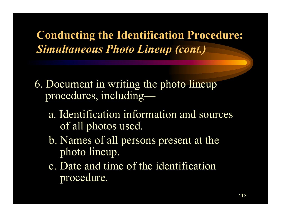- 6. Document in writing the photo lineup procedures, including
	- a. Identification information and sources of all photos used.
	- b. Names of all persons present at the photo lineup.
	- c. Date and time of the identification procedure.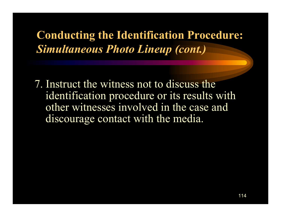7. Instruct the witness not to discuss theidentification procedure or its results with other witnesses involved in the case and discourage contact with the media.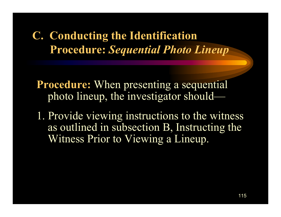**Procedure:** When presenting a sequential photo lineup, the investigator should-

1. Provide viewing instructions to the witness as outlined in subsection B, Instructing the Witness Prior to Viewing a Lineup.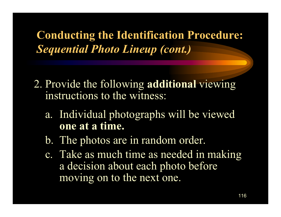- 2. Provide the following **additional** viewing instructions to the witness:
	- a. Individual photographs will be viewed **one at a time.**
	- b. The photos are in random order.
	- c. Take as much time as needed in making a decision about each photo before moving on to the next one.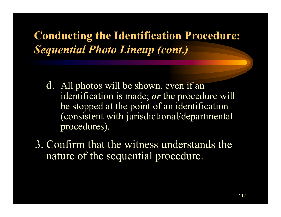- d. All photos will be shown, even if an identification is made; *or* the procedure will be stopped at the point of an identification (consistent with jurisdictional/departmental procedures).
- 3. Confirm that the witness understands the nature of the sequential procedure.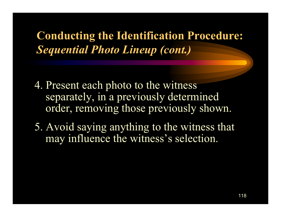- 4. Present each photo to the witness separately, in a previously determined order, removing those previously shown.
- 5. Avoid saying anything to the witness that may influence the witness's selection.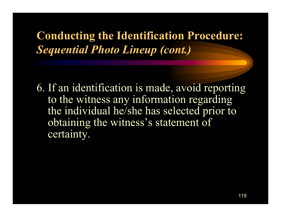6. If an identification is made, avoid reporting to the witness any information regarding the individual he/she has selected prior to obtaining the witness's statement of certainty.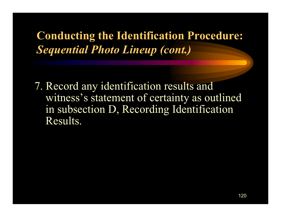7. Record any identification results and witness's statement of certainty as outlined in subsection D, Recording Identification Results.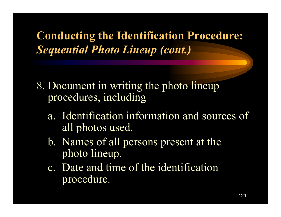- 8. Document in writing the photo lineup procedures, including
	- a. Identification information and sources of all photos used.
	- b. Names of all persons present at the photo lineup.
	- c. Date and time of the identification procedure.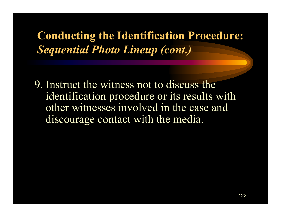9. Instruct the witness not to discuss theidentification procedure or its results with other witnesses involved in the case anddiscourage contact with the media.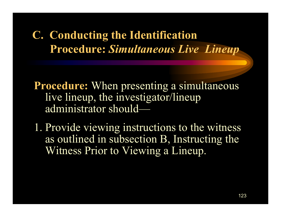**Procedure:** When presenting a simultaneous live lineup, the investigator/lineup administrator should—

1. Provide viewing instructions to the witness as outlined in subsection B, Instructing the Witness Prior to Viewing a Lineup.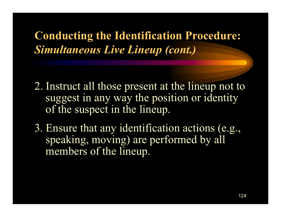- 2. Instruct all those present at the lineup not to suggest in any way the position or identity of the suspect in the lineup.
- 3. Ensure that any identification actions (e.g., speaking, moving) are performed by all members of the lineup.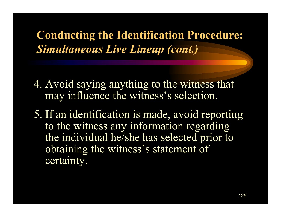- 4. Avoid saying anything to the witness that may influence the witness's selection.
- 5. If an identification is made, avoid reporting to the witness any information regarding the individual he/she has selected prior to obtaining the witness's statement of certainty.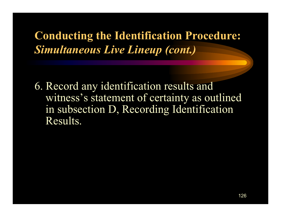6. Record any identification results and witness's statement of certainty as outlined in subsection D, Recording Identification Results.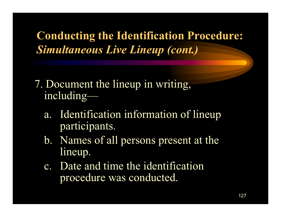- 7. Document the lineup in writing, including
	- a. Identification information of lineup participants.
	- b. Names of all persons present at the lineup.
	- c. Date and time the identification procedure was conducted.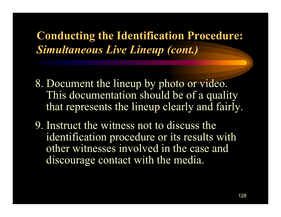- 8. Document the lineup by photo or video. This documentation should be of a quality that represents the lineup clearly and fairly.
- 9. Instruct the witness not to discuss theidentification procedure or its results with other witnesses involved in the case anddiscourage contact with the media.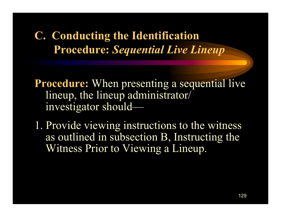**Procedure:** When presenting a sequential live lineup, the lineup administrator/ investigator should—

1. Provide viewing instructions to the witness as outlined in subsection B, Instructing the Witness Prior to Viewing a Lineup.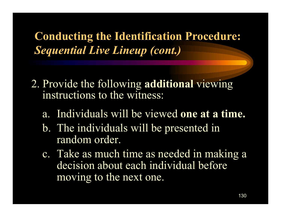- 2. Provide the following **additional** viewing instructions to the witness:
	- a. Individuals will be viewed **one at a time.**
	- b. The individuals will be presented in random order.
	- c. Take as much time as needed in making a decision about each individual before moving to the next one.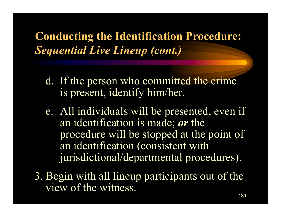- d. If the person who committed the crime is present, identify him/her.
- e. All individuals will be presented, even if an identification is made; *or* the procedure will be stopped at the point of an identification (consistent with jurisdictional/departmental procedures).
- 3. Begin with all lineup participants out of the view of the witness.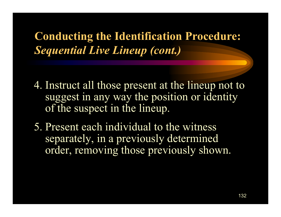- 4. Instruct all those present at the lineup not to suggest in any way the position or identity of the suspect in the lineup.
- 5. Present each individual to the witness separately, in a previously determined order, removing those previously shown.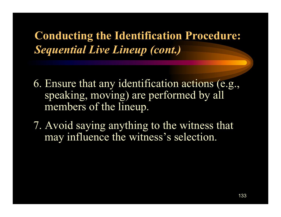- 6. Ensure that any identification actions (e.g., speaking, moving) are performed by all members of the lineup.
- 7. Avoid saying anything to the witness that may influence the witness's selection.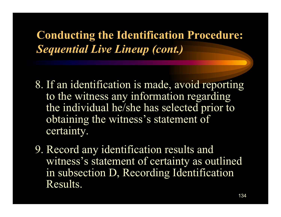- 8. If an identification is made, avoid reporting to the witness any information regarding the individual he/she has selected prior to obtaining the witness's statement of certainty.
- 9. Record any identification results and witness's statement of certainty as outlined in subsection D, Recording Identification Results.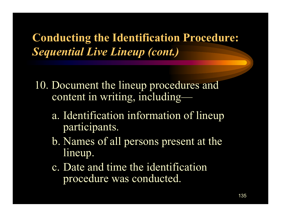- 10. Document the lineup procedures and content in writing, including
	- a. Identification information of lineup participants.
	- b. Names of all persons present at the lineup.
	- c. Date and time the identification procedure was conducted.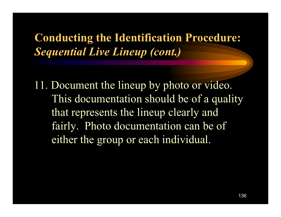11. Document the lineup by photo or video. This documentation should be of a quality that represents the lineup clearly and fairly. Photo documentation can be of either the group or each individual.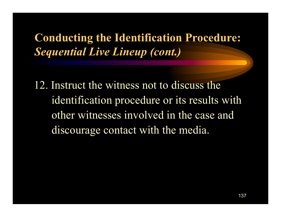12. Instruct the witness not to discuss the identification procedure or its results with other witnesses involved in the case anddiscourage contact with the media.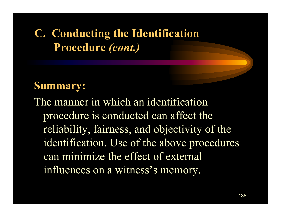## **C. Conducting the Identification Procedure** *(cont.)*

#### **Summary:**

The manner in which an identificationprocedure is conducted can affect the reliability, fairness, and objectivity of the identification. Use of the above procedures can minimize the effect of external influences on a witness's memory.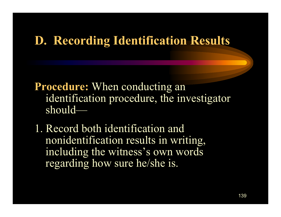#### **D. Recording Identification Results**

**Procedure:** When conducting an identification procedure, the investigator should—

1. Record both identification and nonidentification results in writing, including the witness's own words regarding how sure he/she is.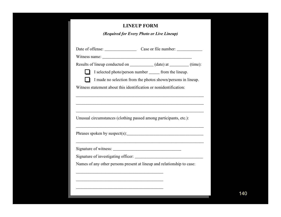#### **LINEUP FORM**

*(Required for Every Photo or Live Lineup)*

| Results of lineup conducted on _____________ (date) at _________ (time):<br>I selected photo/person number _______ from the lineup.<br>I made no selection from the photos shown/persons in lineup.<br>Witness statement about this identification or nonidentification:<br>Unusual circumstances (clothing passed among participants, etc.):<br>Phrases spoken by suspect(s): $\qquad \qquad$ $\qquad \qquad$ $\qquad \qquad$ $\qquad \qquad$ $\qquad \qquad$ $\qquad \qquad$ $\qquad \qquad$ $\qquad \qquad$ $\qquad \qquad$ $\qquad \qquad$ $\qquad \qquad$ $\qquad \qquad$ $\qquad \qquad$ $\qquad \qquad$ $\qquad \qquad$ $\qquad \qquad$ $\qquad \qquad$ $\qquad \qquad$ $\qquad \qquad$ $\qquad \qquad$ $\qquad \qquad$ $\$<br>,我们也不能在这里,我们的人们就是一个人的人,我们也不能在这里的人们,我们也不能会不能会不能会不能会不能会不能会。""我们,我们也不能会不能会不能会不能会不能会<br>Names of any other persons present at lineup and relationship to case: |  |
|--------------------------------------------------------------------------------------------------------------------------------------------------------------------------------------------------------------------------------------------------------------------------------------------------------------------------------------------------------------------------------------------------------------------------------------------------------------------------------------------------------------------------------------------------------------------------------------------------------------------------------------------------------------------------------------------------------------------------------------------------------------------------------------------------------------------------------------------------------------------------------------------------|--|
|                                                                                                                                                                                                                                                                                                                                                                                                                                                                                                                                                                                                                                                                                                                                                                                                                                                                                                  |  |
|                                                                                                                                                                                                                                                                                                                                                                                                                                                                                                                                                                                                                                                                                                                                                                                                                                                                                                  |  |
|                                                                                                                                                                                                                                                                                                                                                                                                                                                                                                                                                                                                                                                                                                                                                                                                                                                                                                  |  |
|                                                                                                                                                                                                                                                                                                                                                                                                                                                                                                                                                                                                                                                                                                                                                                                                                                                                                                  |  |
|                                                                                                                                                                                                                                                                                                                                                                                                                                                                                                                                                                                                                                                                                                                                                                                                                                                                                                  |  |
|                                                                                                                                                                                                                                                                                                                                                                                                                                                                                                                                                                                                                                                                                                                                                                                                                                                                                                  |  |
|                                                                                                                                                                                                                                                                                                                                                                                                                                                                                                                                                                                                                                                                                                                                                                                                                                                                                                  |  |
|                                                                                                                                                                                                                                                                                                                                                                                                                                                                                                                                                                                                                                                                                                                                                                                                                                                                                                  |  |
|                                                                                                                                                                                                                                                                                                                                                                                                                                                                                                                                                                                                                                                                                                                                                                                                                                                                                                  |  |
|                                                                                                                                                                                                                                                                                                                                                                                                                                                                                                                                                                                                                                                                                                                                                                                                                                                                                                  |  |
|                                                                                                                                                                                                                                                                                                                                                                                                                                                                                                                                                                                                                                                                                                                                                                                                                                                                                                  |  |
|                                                                                                                                                                                                                                                                                                                                                                                                                                                                                                                                                                                                                                                                                                                                                                                                                                                                                                  |  |
|                                                                                                                                                                                                                                                                                                                                                                                                                                                                                                                                                                                                                                                                                                                                                                                                                                                                                                  |  |
|                                                                                                                                                                                                                                                                                                                                                                                                                                                                                                                                                                                                                                                                                                                                                                                                                                                                                                  |  |
|                                                                                                                                                                                                                                                                                                                                                                                                                                                                                                                                                                                                                                                                                                                                                                                                                                                                                                  |  |
|                                                                                                                                                                                                                                                                                                                                                                                                                                                                                                                                                                                                                                                                                                                                                                                                                                                                                                  |  |
|                                                                                                                                                                                                                                                                                                                                                                                                                                                                                                                                                                                                                                                                                                                                                                                                                                                                                                  |  |
|                                                                                                                                                                                                                                                                                                                                                                                                                                                                                                                                                                                                                                                                                                                                                                                                                                                                                                  |  |
|                                                                                                                                                                                                                                                                                                                                                                                                                                                                                                                                                                                                                                                                                                                                                                                                                                                                                                  |  |
|                                                                                                                                                                                                                                                                                                                                                                                                                                                                                                                                                                                                                                                                                                                                                                                                                                                                                                  |  |
|                                                                                                                                                                                                                                                                                                                                                                                                                                                                                                                                                                                                                                                                                                                                                                                                                                                                                                  |  |
|                                                                                                                                                                                                                                                                                                                                                                                                                                                                                                                                                                                                                                                                                                                                                                                                                                                                                                  |  |
|                                                                                                                                                                                                                                                                                                                                                                                                                                                                                                                                                                                                                                                                                                                                                                                                                                                                                                  |  |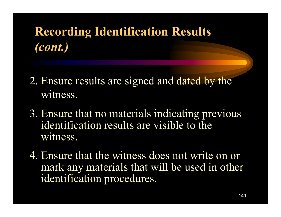# **Recording Identification Results** *(cont.)*

- 2. Ensure results are signed and dated by the witness.
- 3. Ensure that no materials indicating previous identification results are visible to thewitness.
- 4. Ensure that the witness does not write on or mark any materials that will be used in other identification procedures.